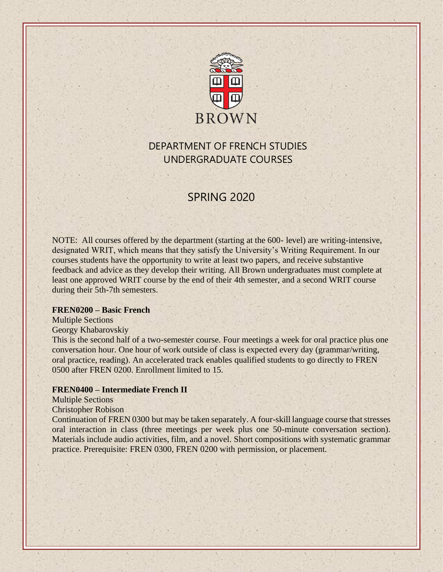

# DEPARTMENT OF FRENCH STUDIES UNDERGRADUATE COURSES

## SPRING 2020

NOTE: All courses offered by the department (starting at the 600- level) are writing-intensive, designated WRIT, which means that they satisfy the University's Writing Requirement. In our courses students have the opportunity to write at least two papers, and receive substantive feedback and advice as they develop their writing. All Brown undergraduates must complete at least one approved WRIT course by the end of their 4th semester, and a second WRIT course during their 5th-7th semesters.

## **FREN0200 – Basic French**

Multiple Sections

Georgy Khabarovskiy

This is the second half of a two-semester course. Four meetings a week for oral practice plus one conversation hour. One hour of work outside of class is expected every day (grammar/writing, oral practice, reading). An accelerated track enables qualified students to go directly to FREN 0500 after FREN 0200. Enrollment limited to 15.

## **FREN0400 – Intermediate French II**

## Multiple Sections

Christopher Robison

Continuation of [FREN 0300](https://cab.brown.edu/search/?p=FREN%200300) but may be taken separately. A four-skill language course that stresses oral interaction in class (three meetings per week plus one 50-minute conversation section). Materials include audio activities, film, and a novel. Short compositions with systematic grammar practice. Prerequisite: [FREN 0300,](https://cab.brown.edu/search/?p=FREN%200300) [FREN 0200](https://cab.brown.edu/search/?p=FREN%200200) with permission, or placement.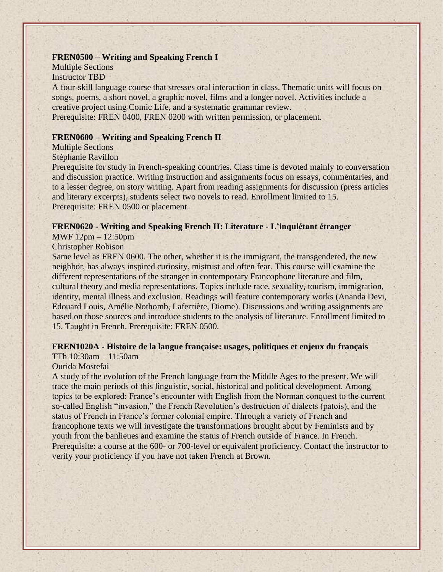#### **FREN0500 – Writing and Speaking French I**

Multiple Sections

Instructor TBD

A four-skill language course that stresses oral interaction in class. Thematic units will focus on songs, poems, a short novel, a graphic novel, films and a longer novel. Activities include a creative project using Comic Life, and a systematic grammar review.

Prerequisite: FREN 0400, FREN 0200 with written permission, or placement.

## **FREN0600 – Writing and Speaking French II**

Multiple Sections

## Stéphanie Ravillon

Prerequisite for study in French-speaking countries. Class time is devoted mainly to conversation and discussion practice. Writing instruction and assignments focus on essays, commentaries, and to a lesser degree, on story writing. Apart from reading assignments for discussion (press articles and literary excerpts), students select two novels to read. Enrollment limited to 15. Prerequisite: FREN 0500 or placement.

## **FREN0620 - Writing and Speaking French II: Literature - L'inquiétant étranger**

MWF 12pm – 12:50pm

## Christopher Robison

Same level as [FREN 0600.](https://cab.brown.edu/search/?p=FREN%200600) The other, whether it is the immigrant, the transgendered, the new neighbor, has always inspired curiosity, mistrust and often fear. This course will examine the different representations of the stranger in contemporary Francophone literature and film, cultural theory and media representations. Topics include race, sexuality, tourism, immigration, identity, mental illness and exclusion. Readings will feature contemporary works (Ananda Devi, Edouard Louis, Amélie Nothomb, Laferrière, Diome). Discussions and writing assignments are based on those sources and introduce students to the analysis of literature. Enrollment limited to 15. Taught in French. Prerequisite: [FREN 0500.](https://cab.brown.edu/search/?p=FREN%200500)

## **FREN1020A - Histoire de la langue française: usages, politiques et enjeux du français**

## TTh 10:30am – 11:50am

#### Ourida Mostefai

A study of the evolution of the French language from the Middle Ages to the present. We will trace the main periods of this linguistic, social, historical and political development. Among topics to be explored: France's encounter with English from the Norman conquest to the current so-called English "invasion," the French Revolution's destruction of dialects (patois), and the status of French in France's former colonial empire. Through a variety of French and francophone texts we will investigate the transformations brought about by Feminists and by youth from the banlieues and examine the status of French outside of France. In French. Prerequisite: a course at the 600- or 700-level or equivalent proficiency. Contact the instructor to verify your proficiency if you have not taken French at Brown.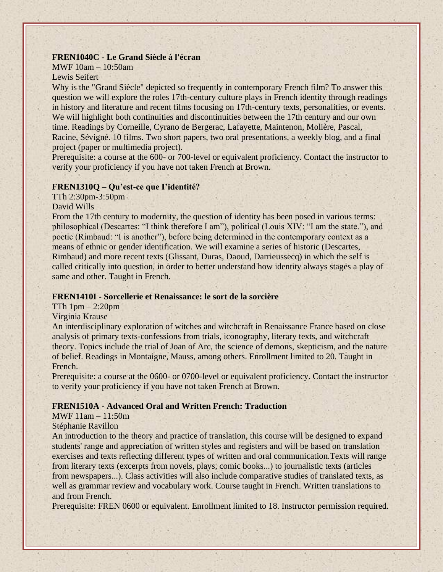#### **FREN1040C - Le Grand Siècle à l'écran**

MWF 10am – 10:50am

Lewis Seifert

Why is the "Grand Siècle" depicted so frequently in contemporary French film? To answer this question we will explore the roles 17th-century culture plays in French identity through readings in history and literature and recent films focusing on 17th-century texts, personalities, or events. We will highlight both continuities and discontinuities between the 17th century and our own time. Readings by Corneille, Cyrano de Bergerac, Lafayette, Maintenon, Molière, Pascal, Racine, Sévigné. 10 films. Two short papers, two oral presentations, a weekly blog, and a final project (paper or multimedia project).

Prerequisite: a course at the 600- or 700-level or equivalent proficiency. Contact the instructor to verify your proficiency if you have not taken French at Brown.

## **FREN1310Q – Qu'est-ce que I'identité?**

TTh 2:30pm-3:50pm

David Wills

From the 17th century to modernity, the question of identity has been posed in various terms: philosophical (Descartes: "I think therefore I am"), political (Louis XIV: "I am the state."), and poetic (Rimbaud: "I is another"), before being determined in the contemporary context as a means of ethnic or gender identification. We will examine a series of historic (Descartes, Rimbaud) and more recent texts (Glissant, Duras, Daoud, Darrieussecq) in which the self is called critically into question, in order to better understand how identity always stages a play of same and other. Taught in French.

### **FREN1410I - Sorcellerie et Renaissance: le sort de la sorcière**

TTh  $1$ pm  $- 2:20$ pm

#### Virginia Krause

An interdisciplinary exploration of witches and witchcraft in Renaissance France based on close analysis of primary texts-confessions from trials, iconography, literary texts, and witchcraft theory. Topics include the trial of Joan of Arc, the science of demons, skepticism, and the nature of belief. Readings in Montaigne, Mauss, among others. Enrollment limited to 20. Taught in French.

Prerequisite: a course at the 0600- or 0700-level or equivalent proficiency. Contact the instructor to verify your proficiency if you have not taken French at Brown.

## **FREN1510A - Advanced Oral and Written French: Traduction**

#### MWF 11am – 11:50m

## Stéphanie Ravillon

An introduction to the theory and practice of translation, this course will be designed to expand students' range and appreciation of written styles and registers and will be based on translation exercises and texts reflecting different types of written and oral communication.Texts will range from literary texts (excerpts from novels, plays, comic books...) to journalistic texts (articles from newspapers...). Class activities will also include comparative studies of translated texts, as well as grammar review and vocabulary work. Course taught in French. Written translations to and from French.

Prerequisite: [FREN 0600](https://cab.brown.edu/search/?p=FREN%200600) or equivalent. Enrollment limited to 18. Instructor permission required.